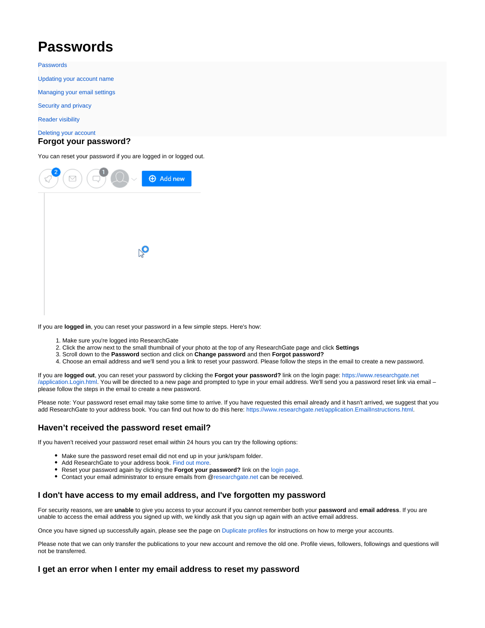# <span id="page-0-0"></span>**Passwords**

[Passwords](#page-0-0)

[Updating your account name](https://explore.researchgate.net/display/support/Updating+your+account+name)

[Managing your email settings](https://explore.researchgate.net/display/support/Managing+your+email+settings)

[Security and privacy](https://explore.researchgate.net/display/support/Security+and+privacy)

[Reader visibility](https://explore.researchgate.net/display/support/Reader+visibility)

[Deleting your account](https://explore.researchgate.net/display/support/Deleting+your+account)

#### **Forgot your password?**

You can reset your password if you are logged in or logged out.



If you are **logged in**, you can reset your password in a few simple steps. Here's how:

- 1. Make sure you're logged into ResearchGate
- 2. Click the arrow next to the small thumbnail of your photo at the top of any ResearchGate page and click **Settings**
- 3. Scroll down to the **Password** section and click on **Change password** and then **Forgot password?**
- 4. Choose an email address and we'll send you a link to reset your password. Please follow the steps in the email to create a new password.

If you are **logged out**, you can reset your password by clicking the **Forgot your password?** link on the login page: [https://www.researchgate.net](https://www.researchgate.net/application.Login.html) [/application.Login.html.](https://www.researchgate.net/application.Login.html) You will be directed to a new page and prompted to type in your email address. We'll send you a password reset link via email – please follow the steps in the email to create a new password.

Please note: Your password reset email may take some time to arrive. If you have requested this email already and it hasn't arrived, we suggest that you add ResearchGate to your address book. You can find out how to do this here: [https://www.researchgate.net/application.EmailInstructions.html.](https://www.researchgate.net/application.EmailInstructions.html)

## **Haven't received the password reset email?**

If you haven't received your password reset email within 24 hours you can try the following options:

- Make sure the password reset email did not end up in your junk/spam folder.
- Add ResearchGate to your address book. [Find out more](https://www.researchgate.net/application.EmailInstructions.html).
- Reset your password again by clicking the **Forgot your password?** link on the [login page.](https://www.researchgate.net/application.Login.html)
- Contact your email administrator to ensure emails from @[researchgate.net](http://researchgate.net/) can be received.

#### **I don't have access to my email address, and I've forgotten my password**

For security reasons, we are **unable** to give you access to your account if you cannot remember both your **password** and **email address**. If you are unable to access the email address you signed up with, we kindly ask that you sign up again with an active email address.

Once you have signed up successfully again, please see the page on [Duplicate profiles f](https://explore.researchgate.net/display/support/Duplicate+profiles)or instructions on how to merge your accounts.

Please note that we can only transfer the publications to your new account and remove the old one. Profile views, followers, followings and questions will not be transferred.

## **I get an error when I enter my email address to reset my password**